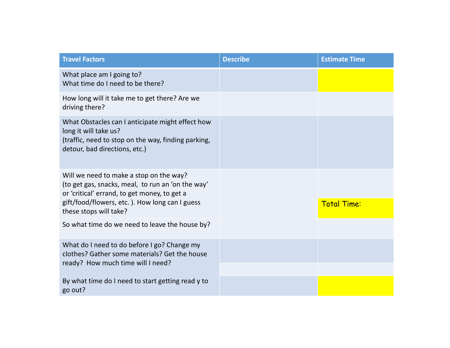| <b>Travel Factors</b>                                                                                                                                                                                                    | <b>Describe</b> | <b>Estimate Time</b> |
|--------------------------------------------------------------------------------------------------------------------------------------------------------------------------------------------------------------------------|-----------------|----------------------|
| What place am I going to?<br>What time do I need to be there?                                                                                                                                                            |                 |                      |
| How long will it take me to get there? Are we<br>driving there?                                                                                                                                                          |                 |                      |
| What Obstacles can I anticipate might effect how<br>long it will take us?<br>(traffic, need to stop on the way, finding parking,<br>detour, bad directions, etc.)                                                        |                 |                      |
| Will we need to make a stop on the way?<br>(to get gas, snacks, meal, to run an 'on the way'<br>or 'critical' errand, to get money, to get a<br>gift/food/flowers, etc.). How long can I guess<br>these stops will take? |                 | <b>Total Time:</b>   |
| So what time do we need to leave the house by?                                                                                                                                                                           |                 |                      |
| What do I need to do before I go? Change my<br>clothes? Gather some materials? Get the house<br>ready? How much time will I need?                                                                                        |                 |                      |
| By what time do I need to start getting read y to<br>go out?                                                                                                                                                             |                 |                      |